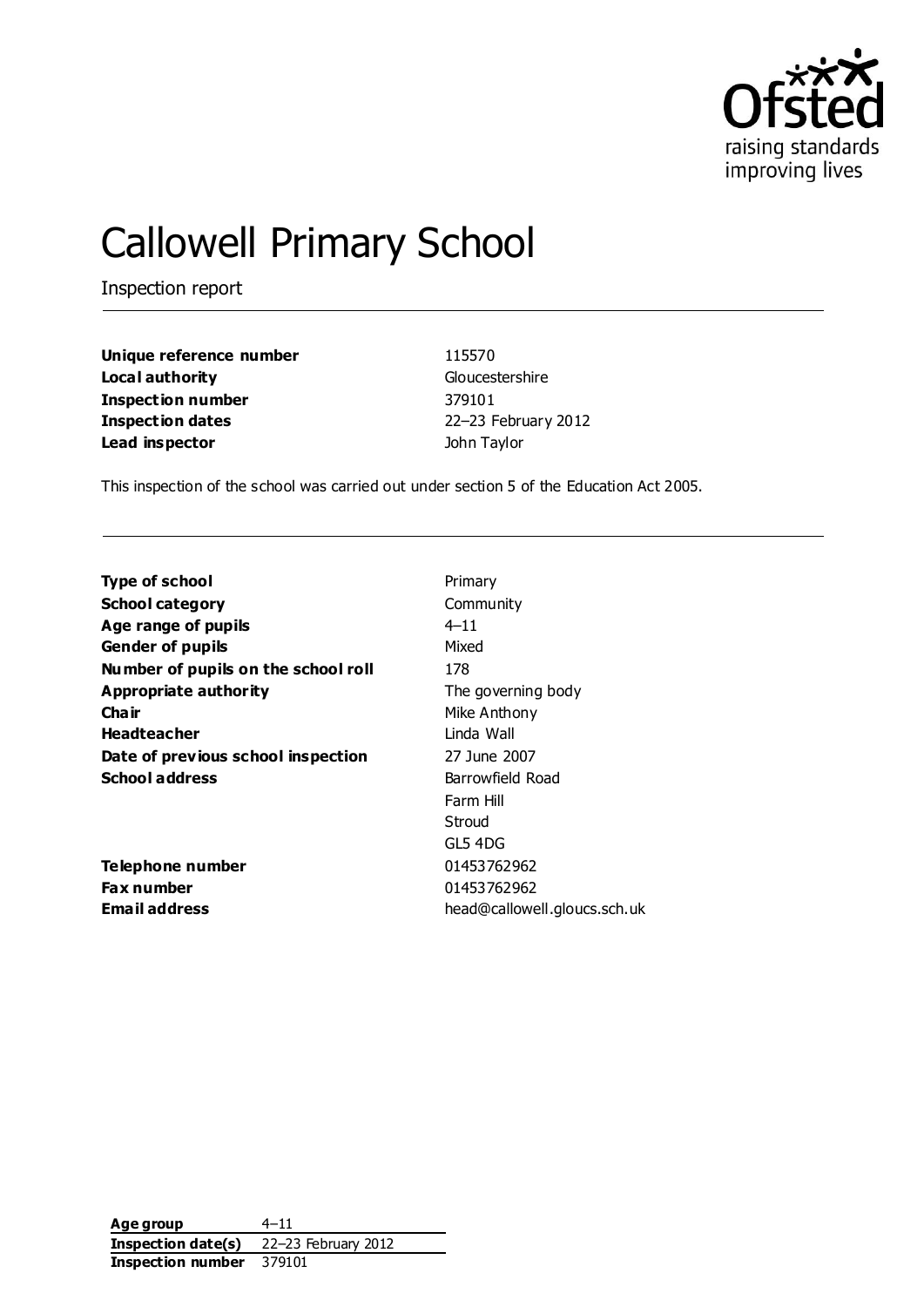

# Callowell Primary School

Inspection report

**Unique reference number** 115570 **Local authority** Gloucestershire **Inspection number** 379101 **Inspection dates** 22–23 February 2012 **Lead inspector Contract Contract Contract Contract Contract Contract Contract Contract Contract Contract Contract Contract Contract Contract Contract Contract Contract Contract Contract Contract Contract Contract Contra** 

This inspection of the school was carried out under section 5 of the Education Act 2005.

| <b>Type of school</b>               | Primary                      |
|-------------------------------------|------------------------------|
| <b>School category</b>              | Community                    |
| Age range of pupils                 | $4 - 11$                     |
| <b>Gender of pupils</b>             | Mixed                        |
| Number of pupils on the school roll | 178                          |
| <b>Appropriate authority</b>        | The governing body           |
| Cha ir                              | Mike Anthony                 |
| <b>Headteacher</b>                  | Linda Wall                   |
| Date of previous school inspection  | 27 June 2007                 |
| School address                      | Barrowfield Road             |
|                                     | Farm Hill                    |
|                                     | Stroud                       |
|                                     | GL5 4DG                      |
| <b>Telephone number</b>             | 01453762962                  |
| <b>Fax number</b>                   | 01453762962                  |
| <b>Email address</b>                | head@callowell.gloucs.sch.uk |
|                                     |                              |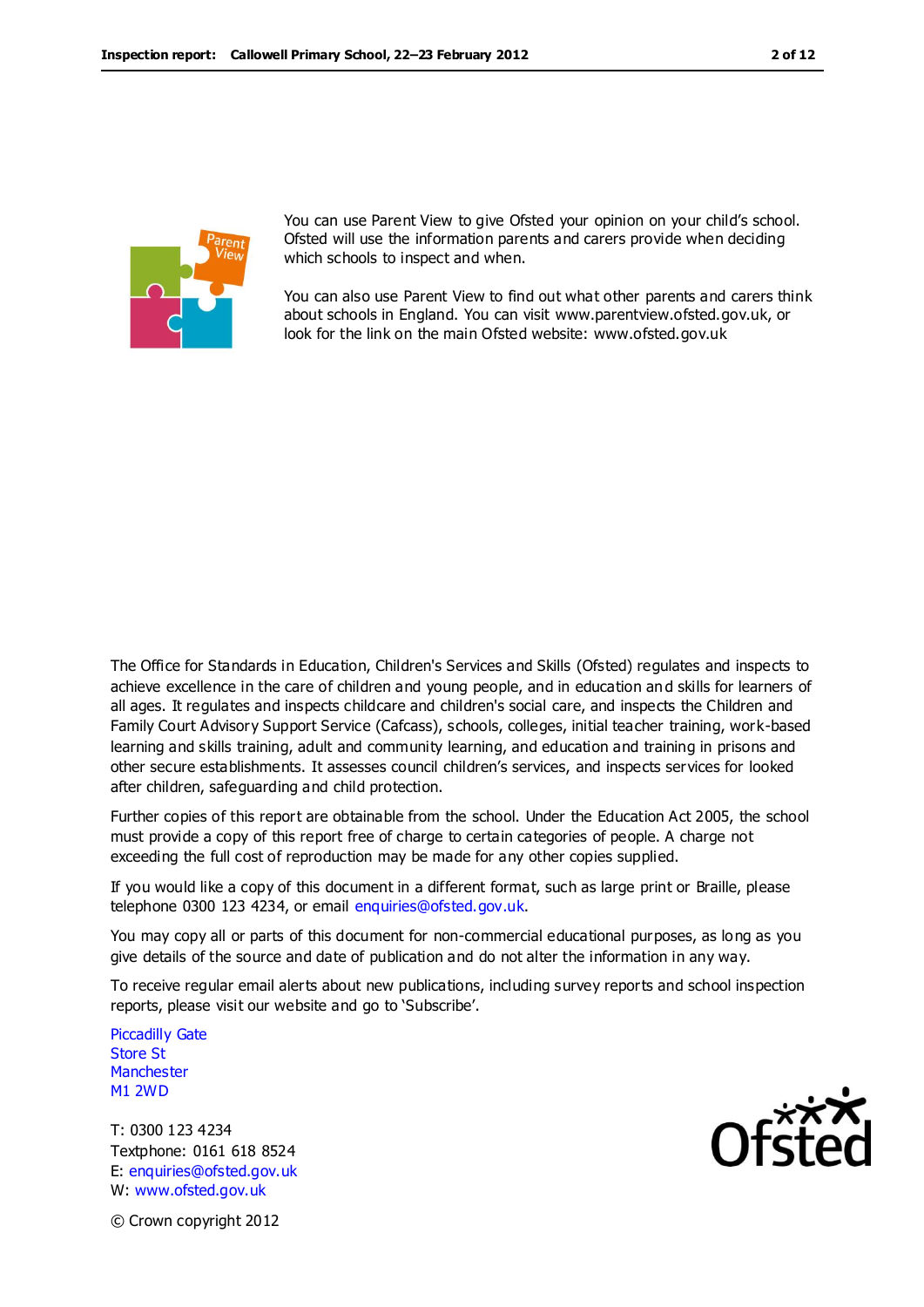

You can use Parent View to give Ofsted your opinion on your child's school. Ofsted will use the information parents and carers provide when deciding which schools to inspect and when.

You can also use Parent View to find out what other parents and carers think about schools in England. You can visit www.parentview.ofsted.gov.uk, or look for the link on the main Ofsted website: www.ofsted.gov.uk

The Office for Standards in Education, Children's Services and Skills (Ofsted) regulates and inspects to achieve excellence in the care of children and young people, and in education an d skills for learners of all ages. It regulates and inspects childcare and children's social care, and inspects the Children and Family Court Advisory Support Service (Cafcass), schools, colleges, initial teacher training, work-based learning and skills training, adult and community learning, and education and training in prisons and other secure establishments. It assesses council children's services, and inspects services for looked after children, safeguarding and child protection.

Further copies of this report are obtainable from the school. Under the Education Act 2005, the school must provide a copy of this report free of charge to certain categories of people. A charge not exceeding the full cost of reproduction may be made for any other copies supplied.

If you would like a copy of this document in a different format, such as large print or Braille, please telephone 0300 123 4234, or email enquiries@ofsted.gov.uk.

You may copy all or parts of this document for non-commercial educational purposes, as long as you give details of the source and date of publication and do not alter the information in any way.

To receive regular email alerts about new publications, including survey reports and school inspection reports, please visit our website and go to 'Subscribe'.

Piccadilly Gate Store St **Manchester** M1 2WD

T: 0300 123 4234 Textphone: 0161 618 8524 E: enquiries@ofsted.gov.uk W: www.ofsted.gov.uk



© Crown copyright 2012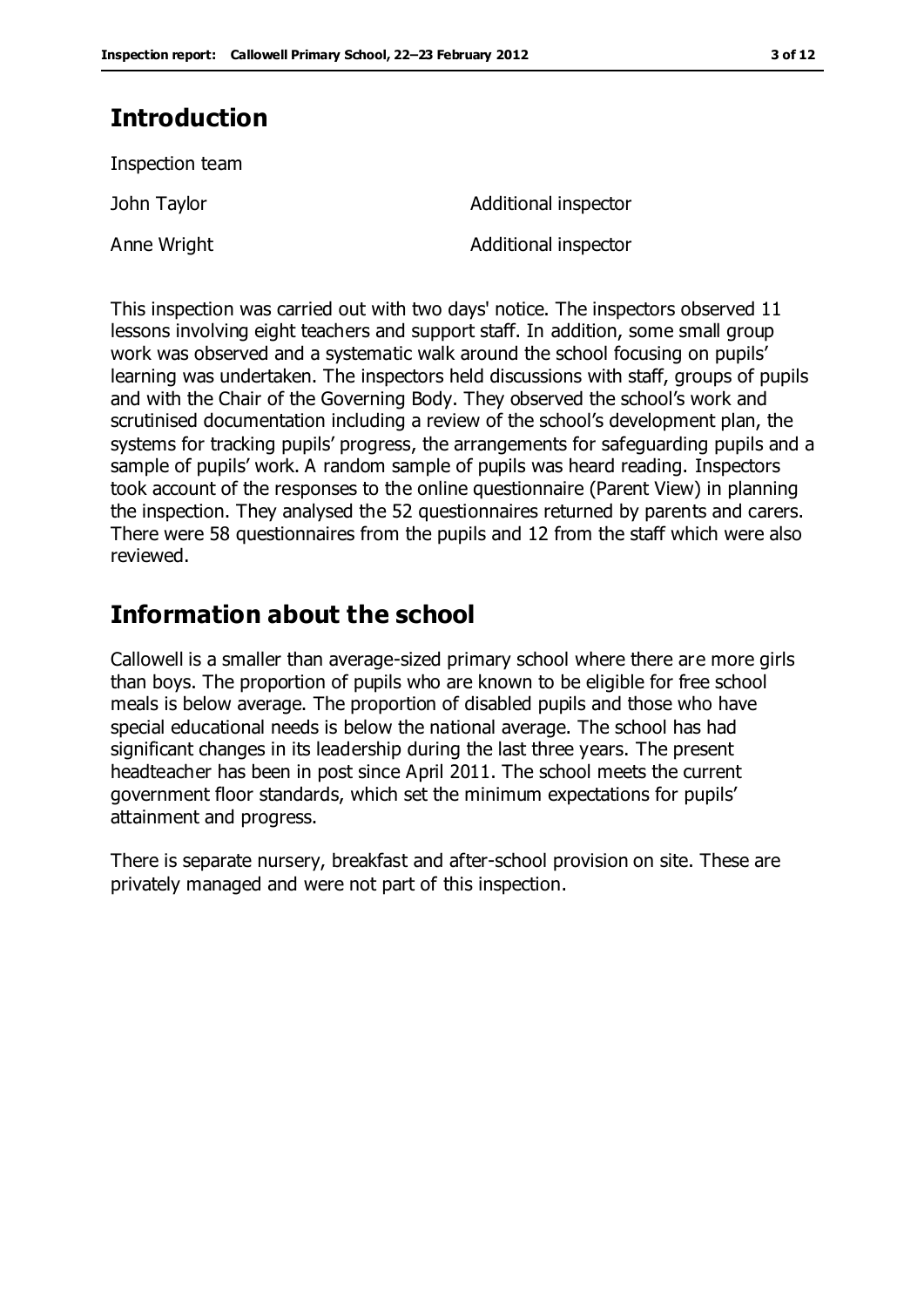## **Introduction**

Inspection team

John Taylor **Additional inspector** 

Anne Wright **Additional inspector** 

This inspection was carried out with two days' notice. The inspectors observed 11 lessons involving eight teachers and support staff. In addition, some small group work was observed and a systematic walk around the school focusing on pupils' learning was undertaken. The inspectors held discussions with staff, groups of pupils and with the Chair of the Governing Body. They observed the school's work and scrutinised documentation including a review of the school's development plan, the systems for tracking pupils' progress, the arrangements for safeguarding pupils and a sample of pupils' work. A random sample of pupils was heard reading. Inspectors took account of the responses to the online questionnaire (Parent View) in planning the inspection. They analysed the 52 questionnaires returned by parents and carers. There were 58 questionnaires from the pupils and 12 from the staff which were also reviewed.

## **Information about the school**

Callowell is a smaller than average-sized primary school where there are more girls than boys. The proportion of pupils who are known to be eligible for free school meals is below average. The proportion of disabled pupils and those who have special educational needs is below the national average. The school has had significant changes in its leadership during the last three years. The present headteacher has been in post since April 2011. The school meets the current government floor standards, which set the minimum expectations for pupils' attainment and progress.

There is separate nursery, breakfast and after-school provision on site. These are privately managed and were not part of this inspection.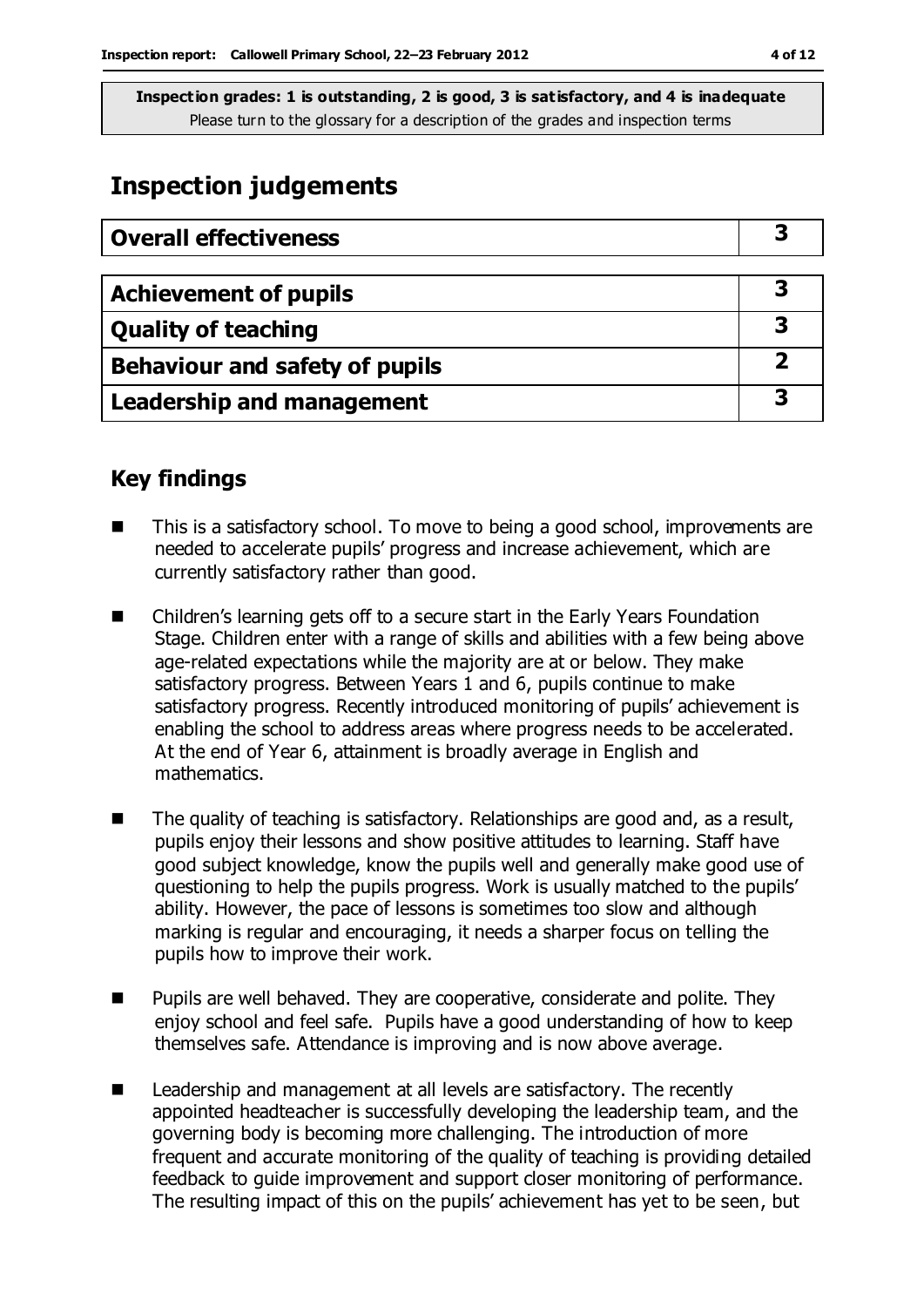## **Inspection judgements**

| <b>Overall effectiveness</b>     |  |
|----------------------------------|--|
|                                  |  |
| <b>Achievement of pupils</b>     |  |
| <b>Quality of teaching</b>       |  |
| Behaviour and safety of pupils   |  |
| <b>Leadership and management</b> |  |

## **Key findings**

- This is a satisfactory school. To move to being a good school, improvements are needed to accelerate pupils' progress and increase achievement, which are currently satisfactory rather than good.
- Children's learning gets off to a secure start in the Early Years Foundation Stage. Children enter with a range of skills and abilities with a few being above age-related expectations while the majority are at or below. They make satisfactory progress. Between Years 1 and 6, pupils continue to make satisfactory progress. Recently introduced monitoring of pupils' achievement is enabling the school to address areas where progress needs to be accelerated. At the end of Year 6, attainment is broadly average in English and mathematics.
- $\blacksquare$  The quality of teaching is satisfactory. Relationships are good and, as a result, pupils enjoy their lessons and show positive attitudes to learning. Staff have good subject knowledge, know the pupils well and generally make good use of questioning to help the pupils progress. Work is usually matched to the pupils' ability. However, the pace of lessons is sometimes too slow and although marking is regular and encouraging, it needs a sharper focus on telling the pupils how to improve their work.
- Pupils are well behaved. They are cooperative, considerate and polite. They enjoy school and feel safe. Pupils have a good understanding of how to keep themselves safe. Attendance is improving and is now above average.
- Leadership and management at all levels are satisfactory. The recently appointed headteacher is successfully developing the leadership team, and the governing body is becoming more challenging. The introduction of more frequent and accurate monitoring of the quality of teaching is providing detailed feedback to guide improvement and support closer monitoring of performance. The resulting impact of this on the pupils' achievement has yet to be seen, but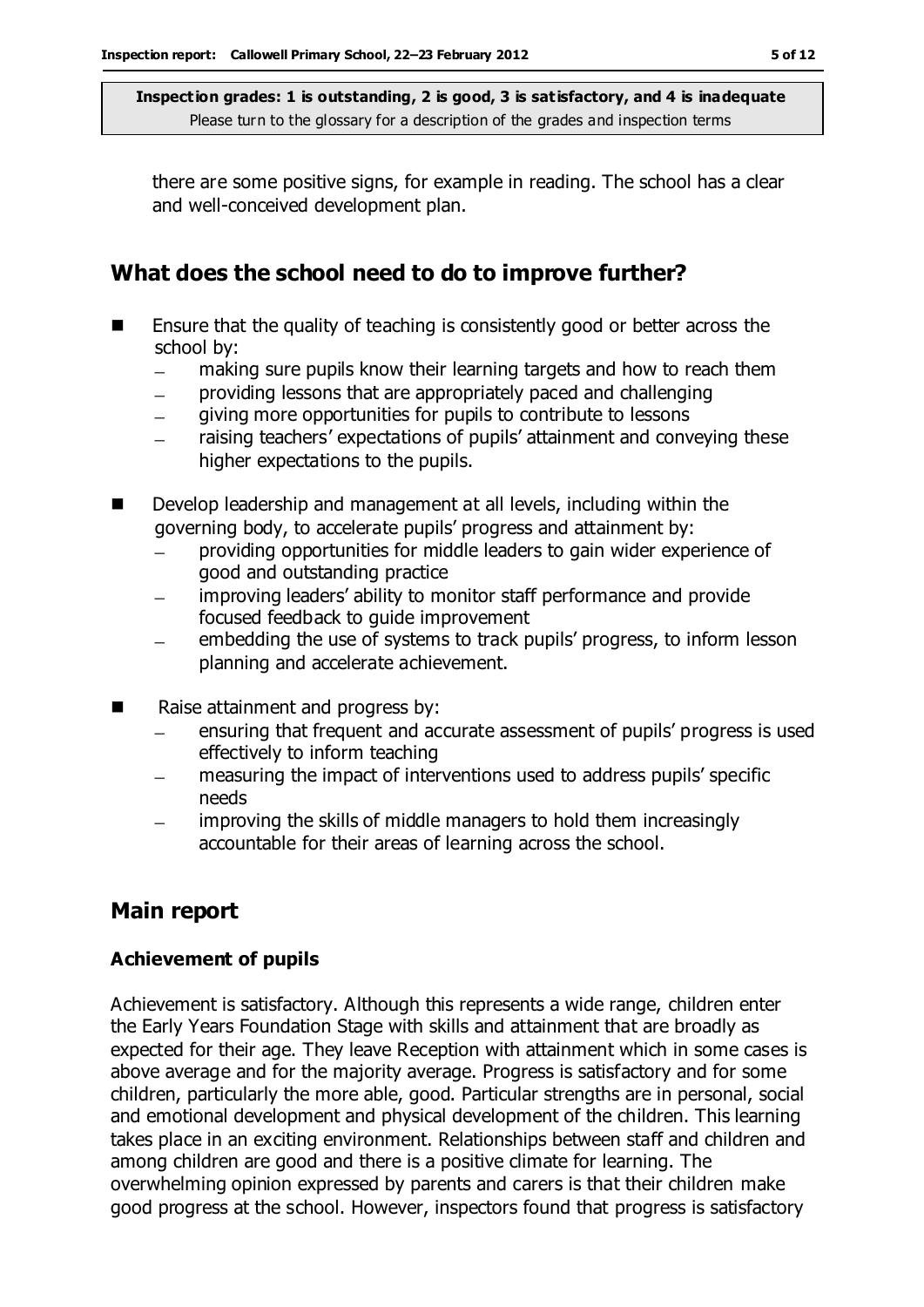there are some positive signs, for example in reading. The school has a clear and well-conceived development plan.

## **What does the school need to do to improve further?**

- Ensure that the quality of teaching is consistently good or better across the school by:
	- making sure pupils know their learning targets and how to reach them  $\equiv$
	- providing lessons that are appropriately paced and challenging
	- giving more opportunities for pupils to contribute to lessons
	- raising teachers' expectations of pupils' attainment and conveying these  $\equiv$ higher expectations to the pupils.
- Develop leadership and management at all levels, including within the governing body, to accelerate pupils' progress and attainment by:
	- providing opportunities for middle leaders to gain wider experience of  $\equiv$ good and outstanding practice
	- improving leaders' ability to monitor staff performance and provide focused feedback to guide improvement
	- embedding the use of systems to track pupils' progress, to inform lesson planning and accelerate achievement.
- Raise attainment and progress by:
	- ensuring that frequent and accurate assessment of pupils' progress is used effectively to inform teaching
	- measuring the impact of interventions used to address pupils' specific needs
	- improving the skills of middle managers to hold them increasingly  $\equiv$ accountable for their areas of learning across the school.

## **Main report**

### **Achievement of pupils**

Achievement is satisfactory. Although this represents a wide range, children enter the Early Years Foundation Stage with skills and attainment that are broadly as expected for their age. They leave Reception with attainment which in some cases is above average and for the majority average. Progress is satisfactory and for some children, particularly the more able, good. Particular strengths are in personal, social and emotional development and physical development of the children. This learning takes place in an exciting environment. Relationships between staff and children and among children are good and there is a positive climate for learning. The overwhelming opinion expressed by parents and carers is that their children make good progress at the school. However, inspectors found that progress is satisfactory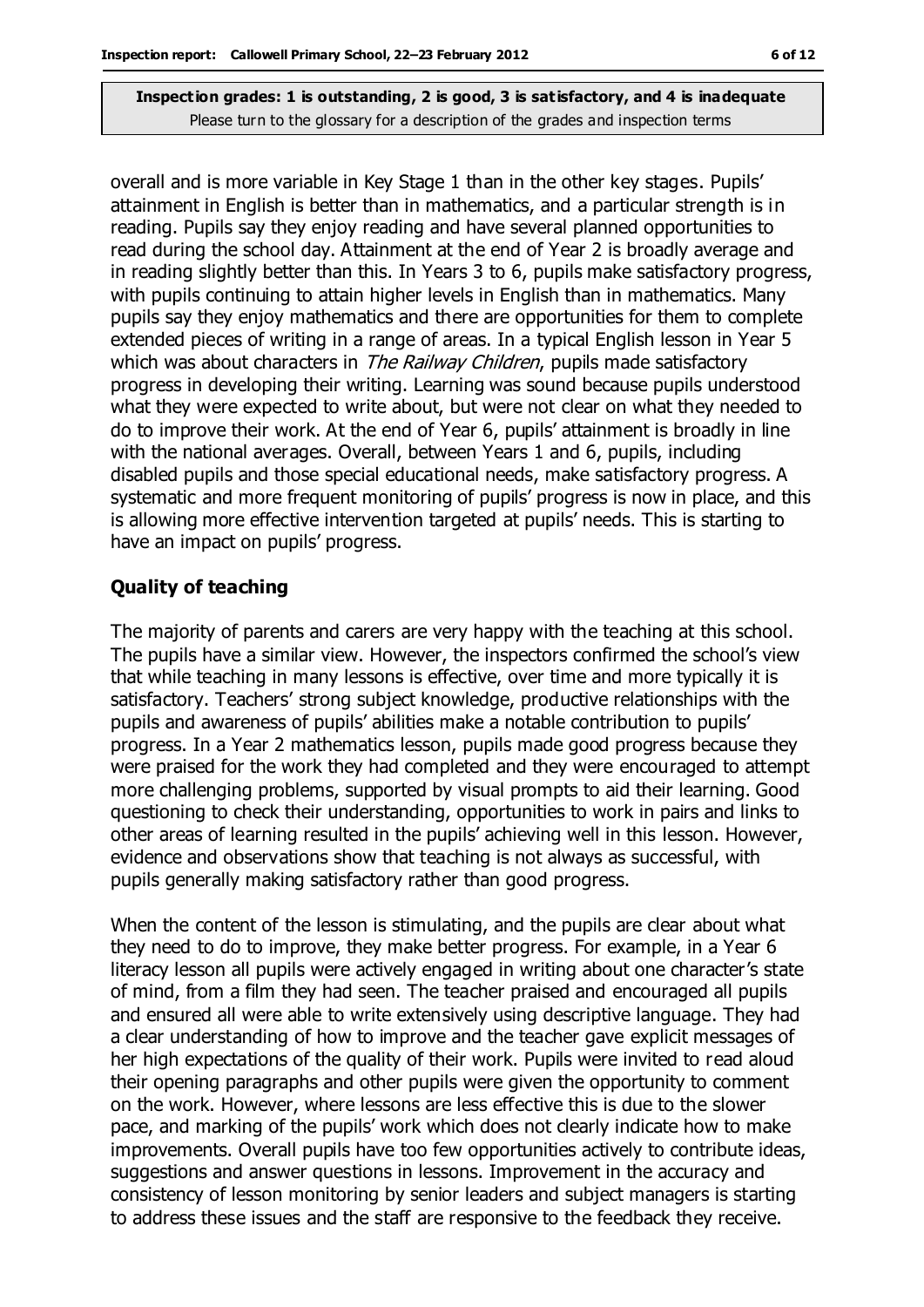overall and is more variable in Key Stage 1 than in the other key stages. Pupils' attainment in English is better than in mathematics, and a particular strength is in reading. Pupils say they enjoy reading and have several planned opportunities to read during the school day. Attainment at the end of Year 2 is broadly average and in reading slightly better than this. In Years 3 to 6, pupils make satisfactory progress, with pupils continuing to attain higher levels in English than in mathematics. Many pupils say they enjoy mathematics and there are opportunities for them to complete extended pieces of writing in a range of areas. In a typical English lesson in Year 5 which was about characters in *The Railway Children*, pupils made satisfactory progress in developing their writing. Learning was sound because pupils understood what they were expected to write about, but were not clear on what they needed to do to improve their work. At the end of Year 6, pupils' attainment is broadly in line with the national averages. Overall, between Years 1 and 6, pupils, including disabled pupils and those special educational needs, make satisfactory progress. A systematic and more frequent monitoring of pupils' progress is now in place, and this is allowing more effective intervention targeted at pupils' needs. This is starting to have an impact on pupils' progress.

#### **Quality of teaching**

The majority of parents and carers are very happy with the teaching at this school. The pupils have a similar view. However, the inspectors confirmed the school's view that while teaching in many lessons is effective, over time and more typically it is satisfactory. Teachers' strong subject knowledge, productive relationships with the pupils and awareness of pupils' abilities make a notable contribution to pupils' progress. In a Year 2 mathematics lesson, pupils made good progress because they were praised for the work they had completed and they were encouraged to attempt more challenging problems, supported by visual prompts to aid their learning. Good questioning to check their understanding, opportunities to work in pairs and links to other areas of learning resulted in the pupils' achieving well in this lesson. However, evidence and observations show that teaching is not always as successful, with pupils generally making satisfactory rather than good progress.

When the content of the lesson is stimulating, and the pupils are clear about what they need to do to improve, they make better progress. For example, in a Year 6 literacy lesson all pupils were actively engaged in writing about one character's state of mind, from a film they had seen. The teacher praised and encouraged all pupils and ensured all were able to write extensively using descriptive language. They had a clear understanding of how to improve and the teacher gave explicit messages of her high expectations of the quality of their work. Pupils were invited to read aloud their opening paragraphs and other pupils were given the opportunity to comment on the work. However, where lessons are less effective this is due to the slower pace, and marking of the pupils' work which does not clearly indicate how to make improvements. Overall pupils have too few opportunities actively to contribute ideas, suggestions and answer questions in lessons. Improvement in the accuracy and consistency of lesson monitoring by senior leaders and subject managers is starting to address these issues and the staff are responsive to the feedback they receive.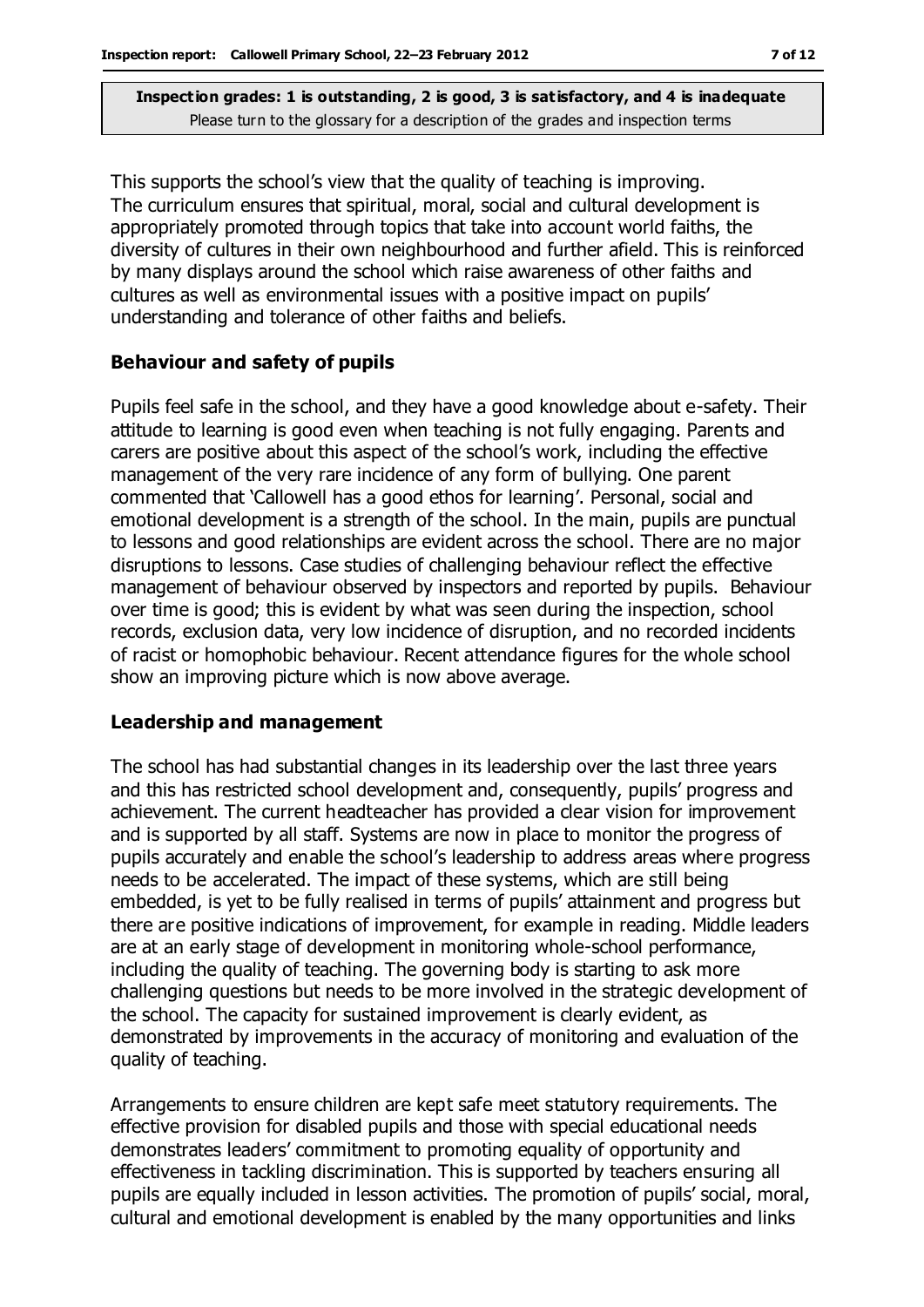This supports the school's view that the quality of teaching is improving. The curriculum ensures that spiritual, moral, social and cultural development is appropriately promoted through topics that take into account world faiths, the diversity of cultures in their own neighbourhood and further afield. This is reinforced by many displays around the school which raise awareness of other faiths and cultures as well as environmental issues with a positive impact on pupils' understanding and tolerance of other faiths and beliefs.

#### **Behaviour and safety of pupils**

Pupils feel safe in the school, and they have a good knowledge about e-safety. Their attitude to learning is good even when teaching is not fully engaging. Parents and carers are positive about this aspect of the school's work, including the effective management of the very rare incidence of any form of bullying. One parent commented that 'Callowell has a good ethos for learning'. Personal, social and emotional development is a strength of the school. In the main, pupils are punctual to lessons and good relationships are evident across the school. There are no major disruptions to lessons. Case studies of challenging behaviour reflect the effective management of behaviour observed by inspectors and reported by pupils. Behaviour over time is good; this is evident by what was seen during the inspection, school records, exclusion data, very low incidence of disruption, and no recorded incidents of racist or homophobic behaviour. Recent attendance figures for the whole school show an improving picture which is now above average.

#### **Leadership and management**

The school has had substantial changes in its leadership over the last three years and this has restricted school development and, consequently, pupils' progress and achievement. The current headteacher has provided a clear vision for improvement and is supported by all staff. Systems are now in place to monitor the progress of pupils accurately and enable the school's leadership to address areas where progress needs to be accelerated. The impact of these systems, which are still being embedded, is yet to be fully realised in terms of pupils' attainment and progress but there are positive indications of improvement, for example in reading. Middle leaders are at an early stage of development in monitoring whole-school performance, including the quality of teaching. The governing body is starting to ask more challenging questions but needs to be more involved in the strategic development of the school. The capacity for sustained improvement is clearly evident, as demonstrated by improvements in the accuracy of monitoring and evaluation of the quality of teaching.

Arrangements to ensure children are kept safe meet statutory requirements. The effective provision for disabled pupils and those with special educational needs demonstrates leaders' commitment to promoting equality of opportunity and effectiveness in tackling discrimination. This is supported by teachers ensuring all pupils are equally included in lesson activities. The promotion of pupils' social, moral, cultural and emotional development is enabled by the many opportunities and links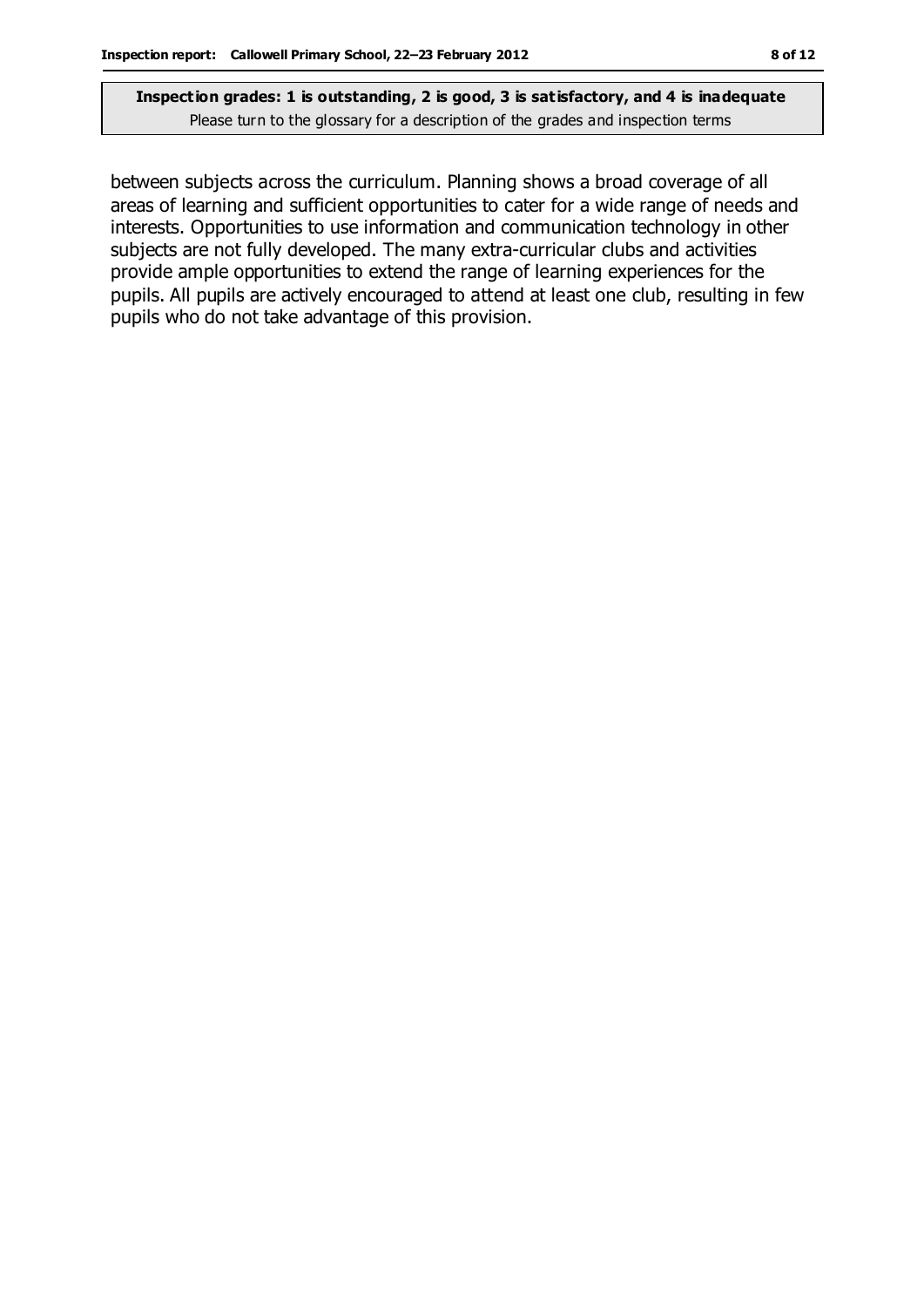between subjects across the curriculum. Planning shows a broad coverage of all areas of learning and sufficient opportunities to cater for a wide range of needs and interests. Opportunities to use information and communication technology in other subjects are not fully developed. The many extra-curricular clubs and activities provide ample opportunities to extend the range of learning experiences for the pupils. All pupils are actively encouraged to attend at least one club, resulting in few pupils who do not take advantage of this provision.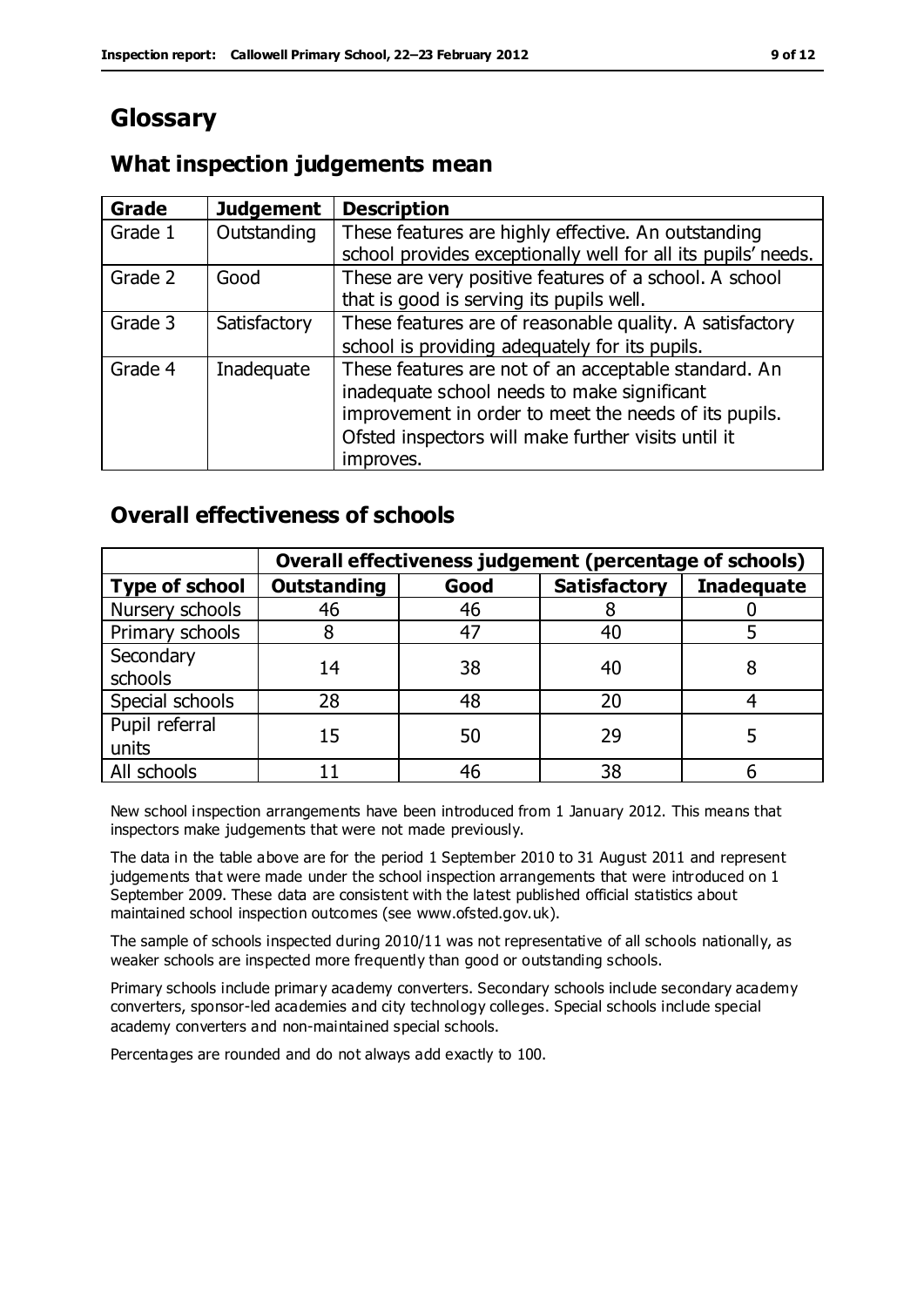## **Glossary**

## **What inspection judgements mean**

| <b>Grade</b> | <b>Judgement</b> | <b>Description</b>                                                                                                   |
|--------------|------------------|----------------------------------------------------------------------------------------------------------------------|
| Grade 1      | Outstanding      | These features are highly effective. An outstanding<br>school provides exceptionally well for all its pupils' needs. |
|              |                  |                                                                                                                      |
| Grade 2      | Good             | These are very positive features of a school. A school                                                               |
|              |                  | that is good is serving its pupils well.                                                                             |
| Grade 3      | Satisfactory     | These features are of reasonable quality. A satisfactory                                                             |
|              |                  | school is providing adequately for its pupils.                                                                       |
| Grade 4      | Inadequate       | These features are not of an acceptable standard. An<br>inadequate school needs to make significant                  |
|              |                  | improvement in order to meet the needs of its pupils.                                                                |
|              |                  | Ofsted inspectors will make further visits until it                                                                  |
|              |                  | improves.                                                                                                            |

## **Overall effectiveness of schools**

|                         | Overall effectiveness judgement (percentage of schools) |      |                     |                   |
|-------------------------|---------------------------------------------------------|------|---------------------|-------------------|
| <b>Type of school</b>   | <b>Outstanding</b>                                      | Good | <b>Satisfactory</b> | <b>Inadequate</b> |
| Nursery schools         | 46                                                      | 46   |                     |                   |
| Primary schools         |                                                         | 47   | 40                  |                   |
| Secondary<br>schools    | 14                                                      | 38   | 40                  |                   |
| Special schools         | 28                                                      | 48   | 20                  |                   |
| Pupil referral<br>units | 15                                                      | 50   | 29                  |                   |
| All schools             |                                                         | 46   | 38                  |                   |

New school inspection arrangements have been introduced from 1 January 2012. This means that inspectors make judgements that were not made previously.

The data in the table above are for the period 1 September 2010 to 31 August 2011 and represent judgements that were made under the school inspection arrangements that were introduced on 1 September 2009. These data are consistent with the latest published official statistics about maintained school inspection outcomes (see www.ofsted.gov.uk).

The sample of schools inspected during 2010/11 was not representative of all schools nationally, as weaker schools are inspected more frequently than good or outstanding schools.

Primary schools include primary academy converters. Secondary schools include secondary academy converters, sponsor-led academies and city technology colleges. Special schools include special academy converters and non-maintained special schools.

Percentages are rounded and do not always add exactly to 100.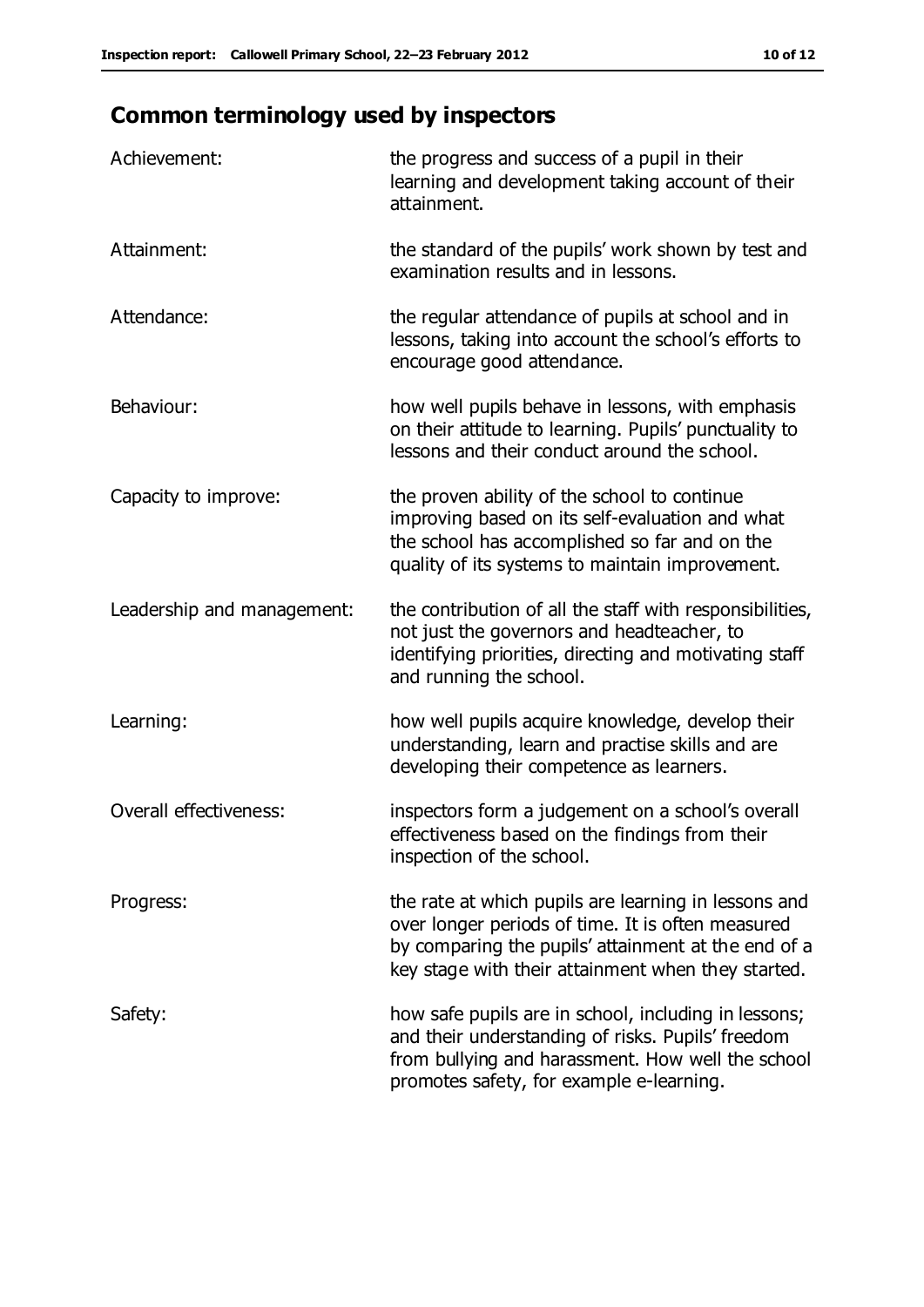## **Common terminology used by inspectors**

| Achievement:                  | the progress and success of a pupil in their<br>learning and development taking account of their<br>attainment.                                                                                                        |
|-------------------------------|------------------------------------------------------------------------------------------------------------------------------------------------------------------------------------------------------------------------|
| Attainment:                   | the standard of the pupils' work shown by test and<br>examination results and in lessons.                                                                                                                              |
| Attendance:                   | the regular attendance of pupils at school and in<br>lessons, taking into account the school's efforts to<br>encourage good attendance.                                                                                |
| Behaviour:                    | how well pupils behave in lessons, with emphasis<br>on their attitude to learning. Pupils' punctuality to<br>lessons and their conduct around the school.                                                              |
| Capacity to improve:          | the proven ability of the school to continue<br>improving based on its self-evaluation and what<br>the school has accomplished so far and on the<br>quality of its systems to maintain improvement.                    |
| Leadership and management:    | the contribution of all the staff with responsibilities,<br>not just the governors and headteacher, to<br>identifying priorities, directing and motivating staff<br>and running the school.                            |
| Learning:                     | how well pupils acquire knowledge, develop their<br>understanding, learn and practise skills and are<br>developing their competence as learners.                                                                       |
| <b>Overall effectiveness:</b> | inspectors form a judgement on a school's overall<br>effectiveness based on the findings from their<br>inspection of the school.                                                                                       |
| Progress:                     | the rate at which pupils are learning in lessons and<br>over longer periods of time. It is often measured<br>by comparing the pupils' attainment at the end of a<br>key stage with their attainment when they started. |
| Safety:                       | how safe pupils are in school, including in lessons;<br>and their understanding of risks. Pupils' freedom<br>from bullying and harassment. How well the school<br>promotes safety, for example e-learning.             |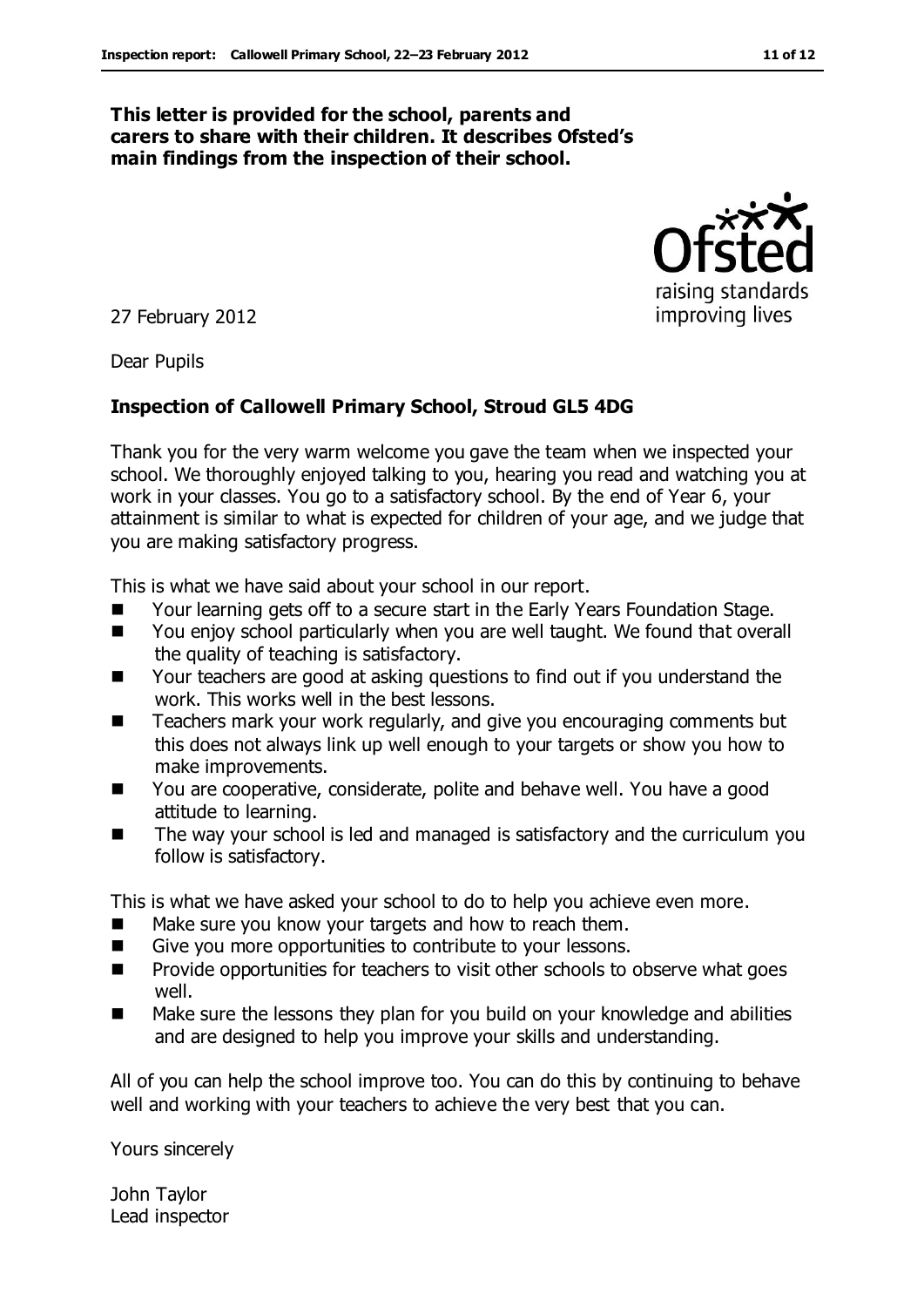#### **This letter is provided for the school, parents and carers to share with their children. It describes Ofsted's main findings from the inspection of their school.**

27 February 2012

Dear Pupils

### **Inspection of Callowell Primary School, Stroud GL5 4DG**

Thank you for the very warm welcome you gave the team when we inspected your school. We thoroughly enjoyed talking to you, hearing you read and watching you at work in your classes. You go to a satisfactory school. By the end of Year 6, your attainment is similar to what is expected for children of your age, and we judge that you are making satisfactory progress.

This is what we have said about your school in our report.

- Your learning gets off to a secure start in the Early Years Foundation Stage.
- You enjoy school particularly when you are well taught. We found that overall the quality of teaching is satisfactory.
- Your teachers are good at asking questions to find out if you understand the work. This works well in the best lessons.
- Teachers mark your work regularly, and give you encouraging comments but this does not always link up well enough to your targets or show you how to make improvements.
- You are cooperative, considerate, polite and behave well. You have a good attitude to learning.
- **The way your school is led and managed is satisfactory and the curriculum you** follow is satisfactory.

This is what we have asked your school to do to help you achieve even more.

- Make sure you know your targets and how to reach them.
- Give you more opportunities to contribute to your lessons.
- **Provide opportunities for teachers to visit other schools to observe what goes** well.
- Make sure the lessons they plan for you build on your knowledge and abilities and are designed to help you improve your skills and understanding.

All of you can help the school improve too. You can do this by continuing to behave well and working with your teachers to achieve the very best that you can.

Yours sincerely

John Taylor Lead inspector